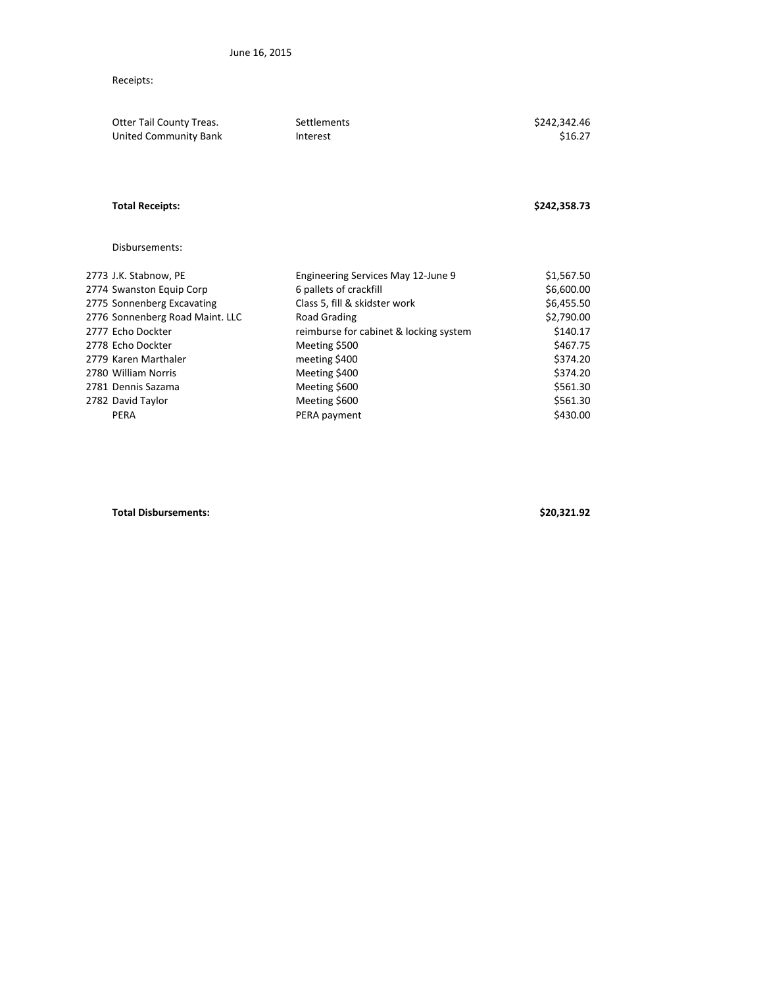## Receipts:

| Otter Tail County Treas.<br>United Community Bank | Settlements<br>Interest                | \$242,342.46<br>\$16.27 |
|---------------------------------------------------|----------------------------------------|-------------------------|
| <b>Total Receipts:</b>                            |                                        | \$242,358.73            |
| Disbursements:                                    |                                        |                         |
| 2773 J.K. Stabnow, PE                             | Engineering Services May 12-June 9     | \$1,567.50              |
| 2774 Swanston Equip Corp                          | 6 pallets of crackfill                 | \$6,600.00              |
| 2775 Sonnenberg Excavating                        | Class 5, fill & skidster work          | \$6,455.50              |
| 2776 Sonnenberg Road Maint. LLC                   | Road Grading                           | \$2,790.00              |
| 2777 Echo Dockter                                 | reimburse for cabinet & locking system | \$140.17                |
| 2778 Echo Dockter                                 | Meeting \$500                          | \$467.75                |
| 2779 Karen Marthaler                              | meeting \$400                          | \$374.20                |
| 2780 William Norris                               | Meeting \$400                          | \$374.20                |
| 2781 Dennis Sazama                                | Meeting \$600                          | \$561.30                |
| 2782 David Taylor                                 | Meeting \$600                          | \$561.30                |
| PERA                                              | PERA payment                           | \$430.00                |
|                                                   |                                        |                         |

**Total Disbursements: \$20,321.92**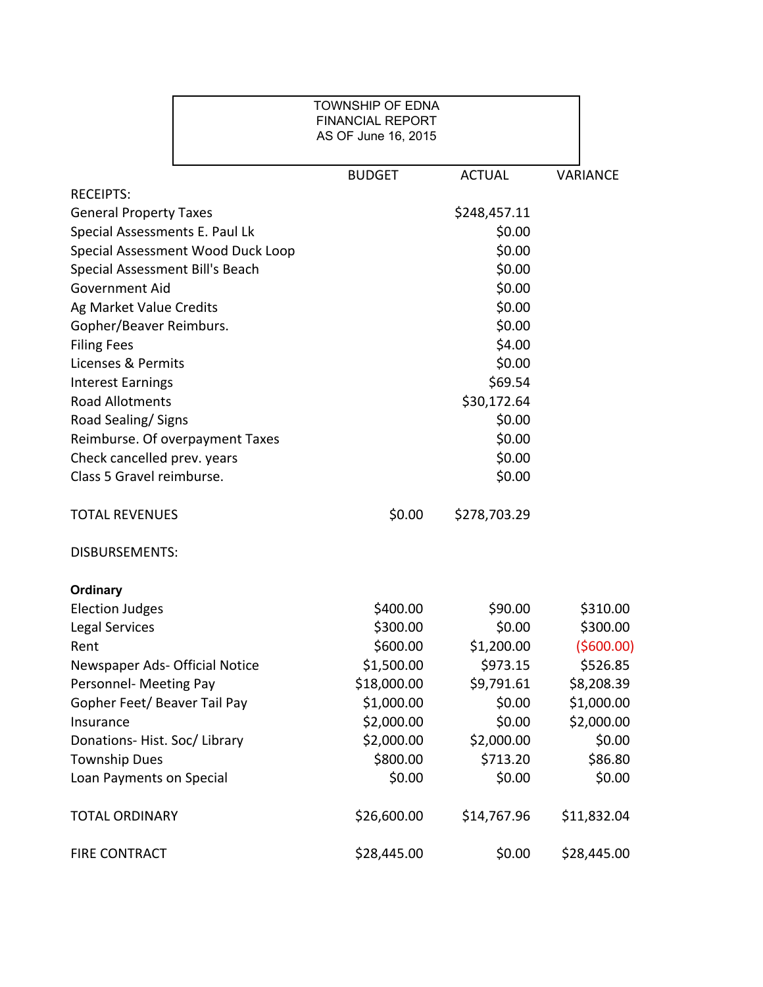|                                   | <b>TOWNSHIP OF EDNA</b><br><b>FINANCIAL REPORT</b><br>AS OF June 16, 2015 |               |                 |
|-----------------------------------|---------------------------------------------------------------------------|---------------|-----------------|
|                                   | <b>BUDGET</b>                                                             | <b>ACTUAL</b> | <b>VARIANCE</b> |
| <b>RECEIPTS:</b>                  |                                                                           |               |                 |
| <b>General Property Taxes</b>     |                                                                           | \$248,457.11  |                 |
| Special Assessments E. Paul Lk    |                                                                           | \$0.00        |                 |
| Special Assessment Wood Duck Loop |                                                                           | \$0.00        |                 |
| Special Assessment Bill's Beach   |                                                                           | \$0.00        |                 |
| <b>Government Aid</b>             |                                                                           | \$0.00        |                 |
| Ag Market Value Credits           |                                                                           | \$0.00        |                 |
| Gopher/Beaver Reimburs.           |                                                                           | \$0.00        |                 |
| <b>Filing Fees</b>                |                                                                           | \$4.00        |                 |
| Licenses & Permits                |                                                                           | \$0.00        |                 |
| <b>Interest Earnings</b>          |                                                                           | \$69.54       |                 |
| <b>Road Allotments</b>            |                                                                           | \$30,172.64   |                 |
| Road Sealing/Signs                |                                                                           | \$0.00        |                 |
| Reimburse. Of overpayment Taxes   |                                                                           | \$0.00        |                 |
| Check cancelled prev. years       |                                                                           | \$0.00        |                 |
| Class 5 Gravel reimburse.         |                                                                           | \$0.00        |                 |
| <b>TOTAL REVENUES</b>             | \$0.00                                                                    | \$278,703.29  |                 |
| <b>DISBURSEMENTS:</b>             |                                                                           |               |                 |
| <b>Ordinary</b>                   |                                                                           |               |                 |
| <b>Election Judges</b>            | \$400.00                                                                  | \$90.00       | \$310.00        |
| Legal Services                    | \$300.00                                                                  | \$0.00        | \$300.00        |
| Rent                              | \$600.00                                                                  | \$1,200.00    | ( \$600.00]     |
| Newspaper Ads- Official Notice    | \$1,500.00                                                                | \$973.15      | \$526.85        |
| Personnel- Meeting Pay            | \$18,000.00                                                               | \$9,791.61    | \$8,208.39      |
| Gopher Feet/ Beaver Tail Pay      | \$1,000.00                                                                | \$0.00        | \$1,000.00      |
| Insurance                         | \$2,000.00                                                                | \$0.00        | \$2,000.00      |
| Donations-Hist. Soc/Library       | \$2,000.00                                                                | \$2,000.00    | \$0.00          |
| <b>Township Dues</b>              | \$800.00                                                                  | \$713.20      | \$86.80         |
| Loan Payments on Special          | \$0.00                                                                    | \$0.00        | \$0.00          |
| <b>TOTAL ORDINARY</b>             | \$26,600.00                                                               | \$14,767.96   | \$11,832.04     |
| <b>FIRE CONTRACT</b>              | \$28,445.00                                                               | \$0.00        | \$28,445.00     |